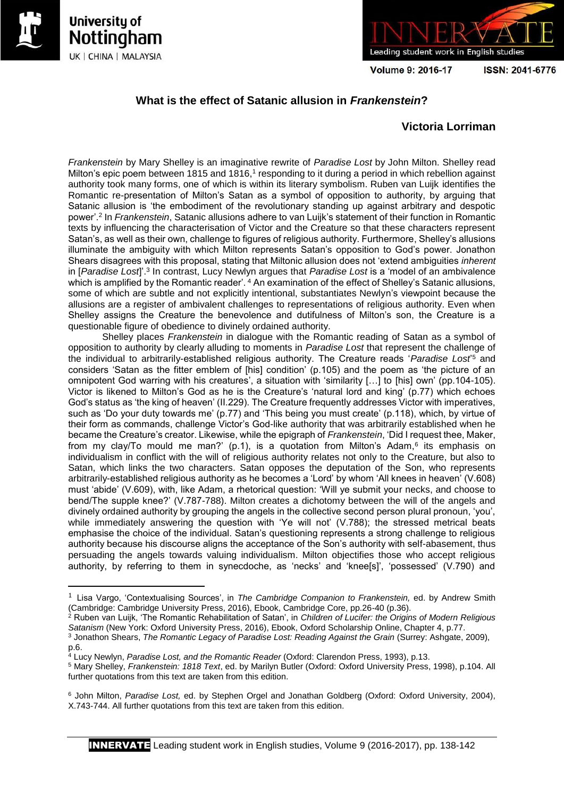

**.** 





Volume 9: 2016-17

ISSN: 2041-6776

# **What is the effect of Satanic allusion in** *Frankenstein***?**

## **Victoria Lorriman**

*Frankenstein* by Mary Shelley is an imaginative rewrite of *Paradise Lost* by John Milton. Shelley read Milton's epic poem between 1815 and 1816,<sup>1</sup> responding to it during a period in which rebellion against authority took many forms, one of which is within its literary symbolism. Ruben van Luijk identifies the Romantic re-presentation of Milton's Satan as a symbol of opposition to authority, by arguing that Satanic allusion is 'the embodiment of the revolutionary standing up against arbitrary and despotic power'.<sup>2</sup> In *Frankenstein*, Satanic allusions adhere to van Luijk's statement of their function in Romantic texts by influencing the characterisation of Victor and the Creature so that these characters represent Satan's, as well as their own, challenge to figures of religious authority. Furthermore, Shelley's allusions illuminate the ambiguity with which Milton represents Satan's opposition to God's power. Jonathon Shears disagrees with this proposal, stating that Miltonic allusion does not 'extend ambiguities *inherent*  in [*Paradise Lost*]'.<sup>3</sup> In contrast, Lucy Newlyn argues that *Paradise Lost* is a 'model of an ambivalence which is amplified by the Romantic reader'. <sup>4</sup> An examination of the effect of Shelley's Satanic allusions, some of which are subtle and not explicitly intentional, substantiates Newlyn's viewpoint because the allusions are a register of ambivalent challenges to representations of religious authority. Even when Shelley assigns the Creature the benevolence and dutifulness of Milton's son, the Creature is a questionable figure of obedience to divinely ordained authority.

Shelley places *Frankenstein* in dialogue with the Romantic reading of Satan as a symbol of opposition to authority by clearly alluding to moments in *Paradise Lost* that represent the challenge of the individual to arbitrarily-established religious authority. The Creature reads '*Paradise Lost*' <sup>5</sup> and considers 'Satan as the fitter emblem of [his] condition' (p.105) and the poem as 'the picture of an omnipotent God warring with his creatures', a situation with 'similarity […] to [his] own' (pp.104-105). Victor is likened to Milton's God as he is the Creature's 'natural lord and king' (p.77) which echoes God's status as 'the king of heaven' (II.229). The Creature frequently addresses Victor with imperatives, such as 'Do your duty towards me' (p.77) and 'This being you must create' (p.118), which, by virtue of their form as commands, challenge Victor's God-like authority that was arbitrarily established when he became the Creature's creator. Likewise, while the epigraph of *Frankenstein*, 'Did I request thee, Maker, from my clay/To mould me man?' (p.1), is a quotation from Milton's Adam,<sup>6</sup> its emphasis on individualism in conflict with the will of religious authority relates not only to the Creature, but also to Satan, which links the two characters. Satan opposes the deputation of the Son, who represents arbitrarily-established religious authority as he becomes a 'Lord' by whom 'All knees in heaven' (V.608) must 'abide' (V.609), with, like Adam, a rhetorical question: 'Will ye submit your necks, and choose to bend/The supple knee?' (V.787-788). Milton creates a dichotomy between the will of the angels and divinely ordained authority by grouping the angels in the collective second person plural pronoun, 'you', while immediately answering the question with 'Ye will not' (V.788); the stressed metrical beats emphasise the choice of the individual. Satan's questioning represents a strong challenge to religious authority because his discourse aligns the acceptance of the Son's authority with self-abasement, thus persuading the angels towards valuing individualism. Milton objectifies those who accept religious authority, by referring to them in synecdoche, as 'necks' and 'knee[s]', 'possessed' (V.790) and

<sup>1</sup> Lisa Vargo, 'Contextualising Sources', in *The Cambridge Companion to Frankenstein,* ed. by Andrew Smith (Cambridge: Cambridge University Press, 2016), Ebook, Cambridge Core, pp.26-40 (p.36).

<sup>2</sup> Ruben van Luijk, 'The Romantic Rehabilitation of Satan', in *Children of Lucifer: the Origins of Modern Religious Satanism* (New York: Oxford University Press, 2016), Ebook, Oxford Scholarship Online, Chapter 4, p.77.

<sup>&</sup>lt;sup>3</sup> Jonathon Shears, *The Romantic Legacy of Paradise Lost: Reading Against the Grain (Surrey: Ashgate, 2009),* p.6.

<sup>4</sup> Lucy Newlyn, *Paradise Lost, and the Romantic Reader* (Oxford: Clarendon Press, 1993), p.13.

<sup>5</sup> Mary Shelley, *Frankenstein: 1818 Text*, ed. by Marilyn Butler (Oxford: Oxford University Press, 1998), p.104. All further quotations from this text are taken from this edition.

<sup>6</sup> John Milton, *Paradise Lost,* ed. by Stephen Orgel and Jonathan Goldberg (Oxford: Oxford University, 2004), X.743-744. All further quotations from this text are taken from this edition.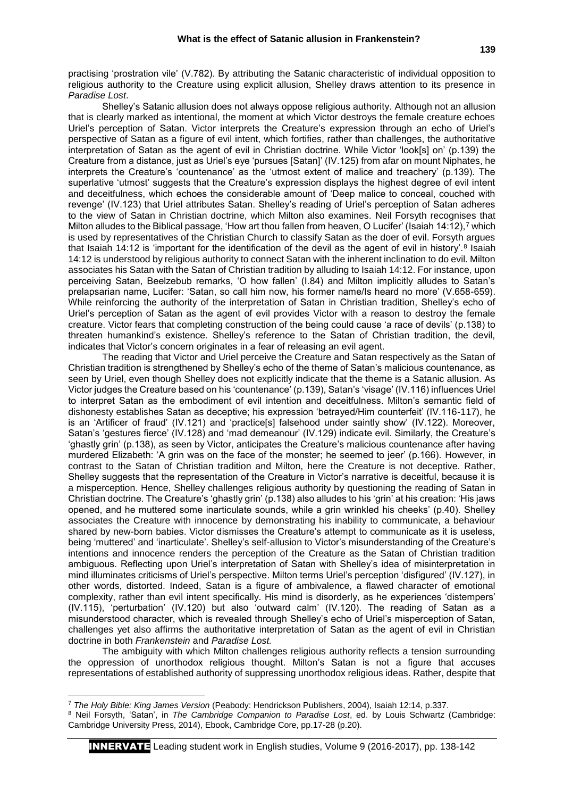Shelley's Satanic allusion does not always oppose religious authority. Although not an allusion that is clearly marked as intentional, the moment at which Victor destroys the female creature echoes Uriel's perception of Satan. Victor interprets the Creature's expression through an echo of Uriel's perspective of Satan as a figure of evil intent, which fortifies, rather than challenges, the authoritative interpretation of Satan as the agent of evil in Christian doctrine. While Victor 'look[s] on' (p.139) the Creature from a distance, just as Uriel's eye 'pursues [Satan]' (IV.125) from afar on mount Niphates, he interprets the Creature's 'countenance' as the 'utmost extent of malice and treachery' (p.139). The superlative 'utmost' suggests that the Creature's expression displays the highest degree of evil intent and deceitfulness, which echoes the considerable amount of 'Deep malice to conceal, couched with revenge' (IV.123) that Uriel attributes Satan. Shelley's reading of Uriel's perception of Satan adheres to the view of Satan in Christian doctrine, which Milton also examines. Neil Forsyth recognises that Milton alludes to the Biblical passage, 'How art thou fallen from heaven, O Lucifer' (Isaiah 14:12), 7 which is used by representatives of the Christian Church to classify Satan as the doer of evil. Forsyth argues that Isaiah 14:12 is 'important for the identification of the devil as the agent of evil in history'.<sup>8</sup> Isaiah 14:12 is understood by religious authority to connect Satan with the inherent inclination to do evil. Milton associates his Satan with the Satan of Christian tradition by alluding to Isaiah 14:12. For instance, upon perceiving Satan, Beelzebub remarks, 'O how fallen' (I.84) and Milton implicitly alludes to Satan's prelapsarian name, Lucifer: 'Satan, so call him now, his former name/Is heard no more' (V.658-659). While reinforcing the authority of the interpretation of Satan in Christian tradition, Shelley's echo of Uriel's perception of Satan as the agent of evil provides Victor with a reason to destroy the female creature. Victor fears that completing construction of the being could cause 'a race of devils' (p.138) to threaten humankind's existence. Shelley's reference to the Satan of Christian tradition, the devil, indicates that Victor's concern originates in a fear of releasing an evil agent.

The reading that Victor and Uriel perceive the Creature and Satan respectively as the Satan of Christian tradition is strengthened by Shelley's echo of the theme of Satan's malicious countenance, as seen by Uriel, even though Shelley does not explicitly indicate that the theme is a Satanic allusion. As Victor judges the Creature based on his 'countenance' (p.139), Satan's 'visage' (IV.116) influences Uriel to interpret Satan as the embodiment of evil intention and deceitfulness. Milton's semantic field of dishonesty establishes Satan as deceptive; his expression 'betrayed/Him counterfeit' (IV.116-117), he is an 'Artificer of fraud' (IV.121) and 'practice[s] falsehood under saintly show' (IV.122). Moreover, Satan's 'gestures fierce' (IV.128) and 'mad demeanour' (IV.129) indicate evil. Similarly, the Creature's 'ghastly grin' (p.138), as seen by Victor, anticipates the Creature's malicious countenance after having murdered Elizabeth: 'A grin was on the face of the monster; he seemed to jeer' (p.166). However, in contrast to the Satan of Christian tradition and Milton, here the Creature is not deceptive. Rather, Shelley suggests that the representation of the Creature in Victor's narrative is deceitful, because it is a misperception. Hence, Shelley challenges religious authority by questioning the reading of Satan in Christian doctrine. The Creature's 'ghastly grin' (p.138) also alludes to his 'grin' at his creation: 'His jaws opened, and he muttered some inarticulate sounds, while a grin wrinkled his cheeks' (p.40). Shelley associates the Creature with innocence by demonstrating his inability to communicate, a behaviour shared by new-born babies. Victor dismisses the Creature's attempt to communicate as it is useless, being 'muttered' and 'inarticulate'. Shelley's self-allusion to Victor's misunderstanding of the Creature's intentions and innocence renders the perception of the Creature as the Satan of Christian tradition ambiguous. Reflecting upon Uriel's interpretation of Satan with Shelley's idea of misinterpretation in mind illuminates criticisms of Uriel's perspective. Milton terms Uriel's perception 'disfigured' (IV.127), in other words, distorted. Indeed, Satan is a figure of ambivalence, a flawed character of emotional complexity, rather than evil intent specifically. His mind is disorderly, as he experiences 'distempers' (IV.115), 'perturbation' (IV.120) but also 'outward calm' (IV.120). The reading of Satan as a misunderstood character, which is revealed through Shelley's echo of Uriel's misperception of Satan, challenges yet also affirms the authoritative interpretation of Satan as the agent of evil in Christian doctrine in both *Frankenstein* and *Paradise Lost.*

The ambiguity with which Milton challenges religious authority reflects a tension surrounding the oppression of unorthodox religious thought. Milton's Satan is not a figure that accuses representations of established authority of suppressing unorthodox religious ideas. Rather, despite that

 $\overline{a}$ 

<sup>7</sup> *The Holy Bible: King James Version* (Peabody: Hendrickson Publishers, 2004), Isaiah 12:14, p.337.

<sup>8</sup> Neil Forsyth, 'Satan', in *The Cambridge Companion to Paradise Lost*, ed. by Louis Schwartz (Cambridge: Cambridge University Press, 2014), Ebook, Cambridge Core, pp.17-28 (p.20).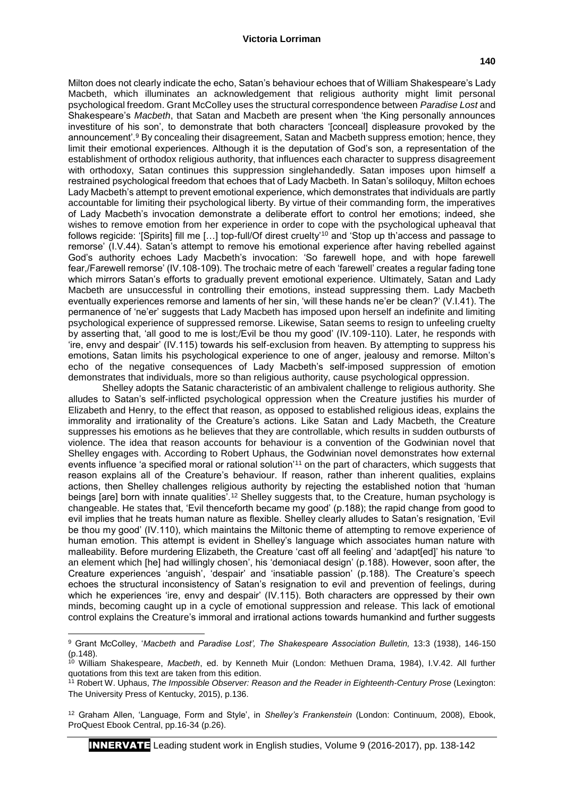### **Victoria Lorriman**

Milton does not clearly indicate the echo, Satan's behaviour echoes that of William Shakespeare's Lady Macbeth, which illuminates an acknowledgement that religious authority might limit personal psychological freedom. Grant McColley uses the structural correspondence between *Paradise Lost* and Shakespeare's *Macbeth*, that Satan and Macbeth are present when 'the King personally announces investiture of his son', to demonstrate that both characters '[conceal] displeasure provoked by the announcement'.<sup>9</sup> By concealing their disagreement, Satan and Macbeth suppress emotion; hence, they limit their emotional experiences. Although it is the deputation of God's son, a representation of the establishment of orthodox religious authority, that influences each character to suppress disagreement with orthodoxy, Satan continues this suppression singlehandedly. Satan imposes upon himself a restrained psychological freedom that echoes that of Lady Macbeth. In Satan's soliloquy, Milton echoes Lady Macbeth's attempt to prevent emotional experience, which demonstrates that individuals are partly accountable for limiting their psychological liberty. By virtue of their commanding form, the imperatives of Lady Macbeth's invocation demonstrate a deliberate effort to control her emotions; indeed, she wishes to remove emotion from her experience in order to cope with the psychological upheaval that follows regicide: '[Spirits] fill me […] top-full/Of direst cruelty'<sup>10</sup> and 'Stop up th'access and passage to remorse' (I.V.44). Satan's attempt to remove his emotional experience after having rebelled against God's authority echoes Lady Macbeth's invocation: 'So farewell hope, and with hope farewell fear,/Farewell remorse' (IV.108-109). The trochaic metre of each 'farewell' creates a regular fading tone which mirrors Satan's efforts to gradually prevent emotional experience. Ultimately, Satan and Lady Macbeth are unsuccessful in controlling their emotions, instead suppressing them. Lady Macbeth eventually experiences remorse and laments of her sin, 'will these hands ne'er be clean?' (V.I.41). The permanence of 'ne'er' suggests that Lady Macbeth has imposed upon herself an indefinite and limiting psychological experience of suppressed remorse. Likewise, Satan seems to resign to unfeeling cruelty by asserting that, 'all good to me is lost;/Evil be thou my good' (IV.109-110). Later, he responds with 'ire, envy and despair' (IV.115) towards his self-exclusion from heaven. By attempting to suppress his emotions, Satan limits his psychological experience to one of anger, jealousy and remorse. Milton's echo of the negative consequences of Lady Macbeth's self-imposed suppression of emotion demonstrates that individuals, more so than religious authority, cause psychological oppression.

Shelley adopts the Satanic characteristic of an ambivalent challenge to religious authority. She alludes to Satan's self-inflicted psychological oppression when the Creature justifies his murder of Elizabeth and Henry, to the effect that reason, as opposed to established religious ideas, explains the immorality and irrationality of the Creature's actions. Like Satan and Lady Macbeth, the Creature suppresses his emotions as he believes that they are controllable, which results in sudden outbursts of violence. The idea that reason accounts for behaviour is a convention of the Godwinian novel that Shelley engages with. According to Robert Uphaus, the Godwinian novel demonstrates how external events influence 'a specified moral or rational solution'<sup>11</sup> on the part of characters, which suggests that reason explains all of the Creature's behaviour. If reason, rather than inherent qualities, explains actions, then Shelley challenges religious authority by rejecting the established notion that 'human beings [are] born with innate qualities'.<sup>12</sup> Shelley suggests that, to the Creature, human psychology is changeable. He states that, 'Evil thenceforth became my good' (p.188); the rapid change from good to evil implies that he treats human nature as flexible. Shelley clearly alludes to Satan's resignation, 'Evil be thou my good' (IV.110), which maintains the Miltonic theme of attempting to remove experience of human emotion. This attempt is evident in Shelley's language which associates human nature with malleability. Before murdering Elizabeth, the Creature 'cast off all feeling' and 'adapt[ed]' his nature 'to an element which [he] had willingly chosen', his 'demoniacal design' (p.188). However, soon after, the Creature experiences 'anguish', 'despair' and 'insatiable passion' (p.188). The Creature's speech echoes the structural inconsistency of Satan's resignation to evil and prevention of feelings, during which he experiences 'ire, envy and despair' (IV.115). Both characters are oppressed by their own minds, becoming caught up in a cycle of emotional suppression and release. This lack of emotional control explains the Creature's immoral and irrational actions towards humankind and further suggests

**.** 

<sup>9</sup> Grant McColley, '*Macbeth* and *Paradise Lost', The Shakespeare Association Bulletin,* 13:3 (1938), 146-150 (p.148).

<sup>10</sup> William Shakespeare, *Macbeth*, ed. by Kenneth Muir (London: Methuen Drama, 1984), I.V.42. All further quotations from this text are taken from this edition.

<sup>&</sup>lt;sup>11</sup> Robert W. Uphaus, *The Impossible Observer: Reason and the Reader in Eighteenth-Century Prose (Lexington:* The University Press of Kentucky, 2015), p.136.

<sup>12</sup> Graham Allen, 'Language, Form and Style', in *Shelley's Frankenstein* (London: Continuum, 2008), Ebook, ProQuest Ebook Central, pp.16-34 (p.26).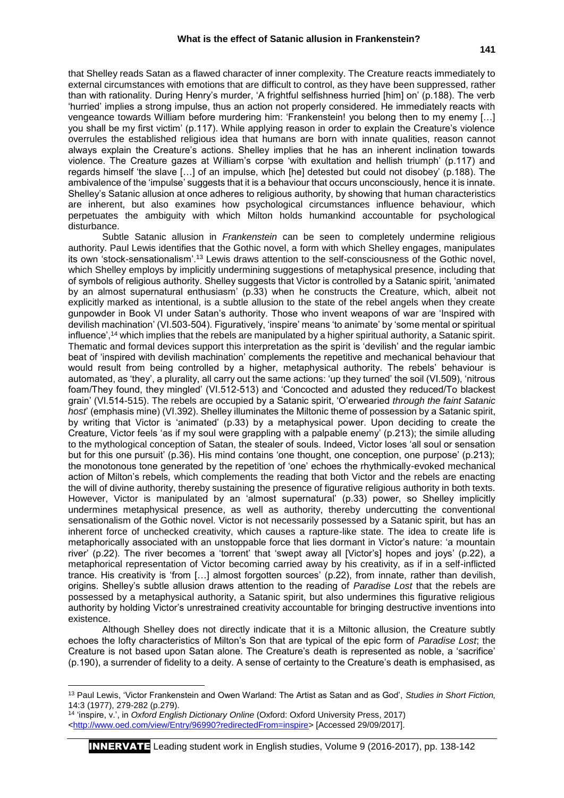that Shelley reads Satan as a flawed character of inner complexity. The Creature reacts immediately to external circumstances with emotions that are difficult to control, as they have been suppressed, rather than with rationality. During Henry's murder, 'A frightful selfishness hurried [him] on' (p.188). The verb 'hurried' implies a strong impulse, thus an action not properly considered. He immediately reacts with vengeance towards William before murdering him: 'Frankenstein! you belong then to my enemy […] you shall be my first victim' (p.117). While applying reason in order to explain the Creature's violence overrules the established religious idea that humans are born with innate qualities, reason cannot always explain the Creature's actions. Shelley implies that he has an inherent inclination towards violence. The Creature gazes at William's corpse 'with exultation and hellish triumph' (p.117) and regards himself 'the slave […] of an impulse, which [he] detested but could not disobey' (p.188). The ambivalence of the 'impulse' suggests that it is a behaviour that occurs unconsciously, hence it is innate. Shelley's Satanic allusion at once adheres to religious authority, by showing that human characteristics are inherent, but also examines how psychological circumstances influence behaviour, which perpetuates the ambiguity with which Milton holds humankind accountable for psychological disturbance.

Subtle Satanic allusion in *Frankenstein* can be seen to completely undermine religious authority. Paul Lewis identifies that the Gothic novel, a form with which Shelley engages, manipulates its own 'stock-sensationalism'.<sup>13</sup> Lewis draws attention to the self-consciousness of the Gothic novel, which Shelley employs by implicitly undermining suggestions of metaphysical presence, including that of symbols of religious authority. Shelley suggests that Victor is controlled by a Satanic spirit, 'animated by an almost supernatural enthusiasm' (p.33) when he constructs the Creature, which, albeit not explicitly marked as intentional, is a subtle allusion to the state of the rebel angels when they create gunpowder in Book VI under Satan's authority. Those who invent weapons of war are 'Inspired with devilish machination' (VI.503-504). Figuratively, 'inspire' means 'to animate' by 'some mental or spiritual influence',<sup>14</sup> which implies that the rebels are manipulated by a higher spiritual authority, a Satanic spirit. Thematic and formal devices support this interpretation as the spirit is 'devilish' and the regular iambic beat of 'inspired with devilish machination' complements the repetitive and mechanical behaviour that would result from being controlled by a higher, metaphysical authority. The rebels' behaviour is automated, as 'they', a plurality, all carry out the same actions: 'up they turned' the soil (VI.509), 'nitrous foam/They found, they mingled' (VI.512-513) and 'Concocted and adusted they reduced/To blackest grain' (VI.514-515). The rebels are occupied by a Satanic spirit, 'O'erwearied *through the faint Satanic host*' (emphasis mine) (VI.392). Shelley illuminates the Miltonic theme of possession by a Satanic spirit, by writing that Victor is 'animated' (p.33) by a metaphysical power. Upon deciding to create the Creature, Victor feels 'as if my soul were grappling with a palpable enemy' (p.213); the simile alluding to the mythological conception of Satan, the stealer of souls. Indeed, Victor loses 'all soul or sensation but for this one pursuit' (p.36). His mind contains 'one thought, one conception, one purpose' (p.213); the monotonous tone generated by the repetition of 'one' echoes the rhythmically-evoked mechanical action of Milton's rebels*,* which complements the reading that both Victor and the rebels are enacting the will of divine authority, thereby sustaining the presence of figurative religious authority in both texts. However, Victor is manipulated by an 'almost supernatural' (p.33) power, so Shelley implicitly undermines metaphysical presence, as well as authority, thereby undercutting the conventional sensationalism of the Gothic novel. Victor is not necessarily possessed by a Satanic spirit, but has an inherent force of unchecked creativity, which causes a rapture-like state. The idea to create life is metaphorically associated with an unstoppable force that lies dormant in Victor's nature: 'a mountain river' (p.22). The river becomes a 'torrent' that 'swept away all [Victor's] hopes and joys' (p.22), a metaphorical representation of Victor becoming carried away by his creativity, as if in a self-inflicted trance. His creativity is 'from […] almost forgotten sources' (p.22), from innate, rather than devilish, origins. Shelley's subtle allusion draws attention to the reading of *Paradise Lost* that the rebels are possessed by a metaphysical authority, a Satanic spirit, but also undermines this figurative religious authority by holding Victor's unrestrained creativity accountable for bringing destructive inventions into existence.

Although Shelley does not directly indicate that it is a Miltonic allusion, the Creature subtly echoes the lofty characteristics of Milton's Son that are typical of the epic form of *Paradise Lost*; the Creature is not based upon Satan alone. The Creature's death is represented as noble, a 'sacrifice' (p.190), a surrender of fidelity to a deity. A sense of certainty to the Creature's death is emphasised, as

**.** 

INNERVATE Leading student work in English studies, Volume 9 (2016-2017), pp. 138-142

<sup>13</sup> Paul Lewis, 'Victor Frankenstein and Owen Warland: The Artist as Satan and as God', *Studies in Short Fiction,* 14:3 (1977), 279-282 (p.279).

<sup>14</sup> 'inspire, v.', in *Oxford English Dictionary Online* (Oxford: Oxford University Press, 2017) [<http://www.oed.com/view/Entry/96990?redirectedFrom=inspire>](http://www.oed.com/view/Entry/96990?redirectedFrom=inspire) [Accessed 29/09/2017].